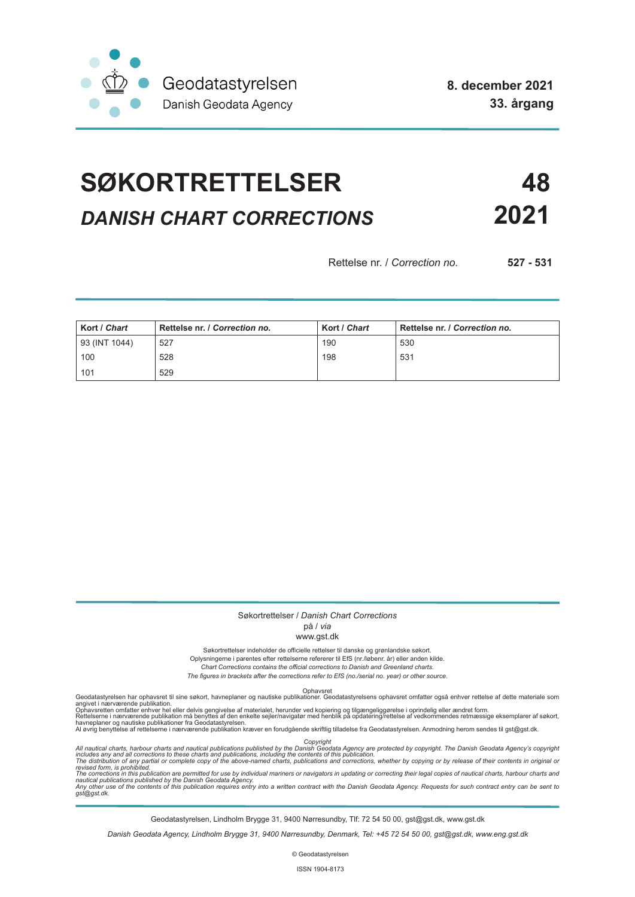

**8. december 2021 33. årgang**

# **SØKORTRETTELSER 48** *DANISH CHART CORRECTIONS* **2021**

Rettelse nr. / *Correction no.* **527 - 531** 

| Kort / Chart  | Rettelse nr. / Correction no. | Kort / Chart | Rettelse nr. / Correction no. |
|---------------|-------------------------------|--------------|-------------------------------|
| 93 (INT 1044) | 527                           | 190          | 530                           |
| 100           | 528                           | 198          | 531                           |
| 101           | 529                           |              |                               |

#### Søkortrettelser / *Danish Chart Corrections*

### på / *via*

#### www.gst.dk

Søkortrettelser indeholder de officielle rettelser til danske og grønlandske søkort.

Oplysningerne i parentes efter rettelserne refererer til EfS (nr./løbenr. år) eller anden kilde.

*Chart Corrections contains the official corrections to Danish and Greenland charts. The figures in brackets after the corrections refer to EfS (no./serial no. year) or other source.*

Ophavsret Geodatastyrelsen har ophavsret til sine søkort, havneplaner og nautiske publikationer. Geodatastyrelsens ophavsret omfatter også enhver rettelse af dette materiale som

angivet i nærværende publikation.<br>Ophavsretten omfatter enhver hel eller delvis gengivelse af materialet, herunder ved kopiering og tilgængeliggørelse i oprindelig eller ændret form.<br>Rettelserne i nærværende publikation må

Copyright<br>includes any and all corrections to these charts and publications published by the Danish Agency are protected by copyright. The Danish Geodata Agency's copyright<br>includes any and all corrections to these charts

Geodatastyrelsen, Lindholm Brygge 31, 9400 Nørresundby, Tlf: 72 54 50 00, gst@gst.dk, www.gst.dk

*Danish Geodata Agency, Lindholm Brygge 31, 9400 Nørresundby, Denmark, Tel: +45 72 54 50 00, gst@gst.dk, www.eng.gst.dk*

© Geodatastyrelsen

ISSN 1904-8173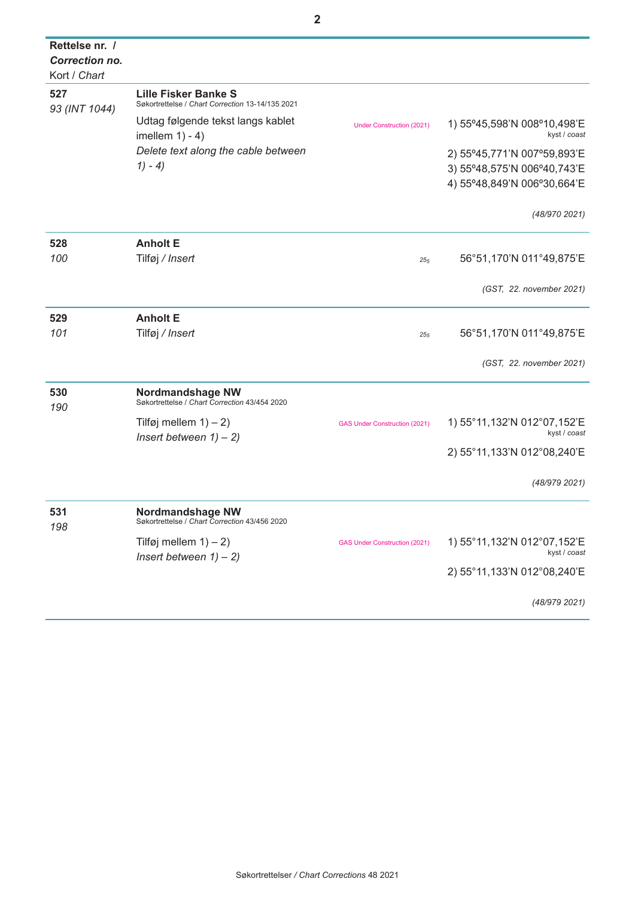| Rettelse nr. /       |                                                                          |                                      |                                             |
|----------------------|--------------------------------------------------------------------------|--------------------------------------|---------------------------------------------|
| Correction no.       |                                                                          |                                      |                                             |
| Kort / Chart         |                                                                          |                                      |                                             |
| 527<br>93 (INT 1044) | Lille Fisker Banke S<br>Søkortrettelse / Chart Correction 13-14/135 2021 |                                      |                                             |
|                      | Udtag følgende tekst langs kablet<br>imellem $1) - 4$ )                  | <b>Under Construction (2021)</b>     | 1) 55°45,598'N 008°10,498'E<br>kyst / coast |
|                      | Delete text along the cable between                                      |                                      | 2) 55°45,771'N 007°59,893'E                 |
|                      | $1) - 4)$                                                                |                                      | 3) 55°48,575'N 006°40,743'E                 |
|                      |                                                                          |                                      | 4) 55°48,849'N 006°30,664'E                 |
|                      |                                                                          |                                      | (48/970 2021)                               |
| 528                  | <b>Anholt E</b>                                                          |                                      |                                             |
| 100                  | Tilføj / Insert                                                          | $25_{5}$                             | 56°51,170'N 011°49,875'E                    |
|                      |                                                                          |                                      | (GST, 22. november 2021)                    |
| 529                  | <b>Anholt E</b>                                                          |                                      |                                             |
| 101                  | Tilføj / Insert                                                          | 25 <sub>5</sub>                      | 56°51,170'N 011°49,875'E                    |
|                      |                                                                          |                                      |                                             |
|                      |                                                                          |                                      | (GST, 22. november 2021)                    |
| 530<br>190           | Nordmandshage NW<br>Søkortrettelse / Chart Correction 43/454 2020        |                                      |                                             |
|                      | Tilføj mellem $1$ ) – 2)                                                 | <b>GAS Under Construction (2021)</b> | 1) 55°11,132'N 012°07,152'E                 |
|                      | Insert between $1) - 2$ )                                                |                                      | kyst / coast                                |
|                      |                                                                          |                                      | 2) 55°11, 133'N 012°08, 240'E               |
|                      |                                                                          |                                      | (48/979 2021)                               |
| 531                  | Nordmandshage NW<br>Søkortrettelse / Chart Correction 43/456 2020        |                                      |                                             |
| 198                  |                                                                          |                                      |                                             |
|                      | Tilføj mellem $1$ ) – 2)<br>Insert between $1) - 2$ )                    | <b>GAS Under Construction (2021)</b> | 1) 55°11,132'N 012°07,152'E<br>kyst / coast |
|                      |                                                                          |                                      | 2) 55°11, 133'N 012°08, 240'E               |
|                      |                                                                          |                                      | (48/979 2021)                               |
|                      |                                                                          |                                      |                                             |